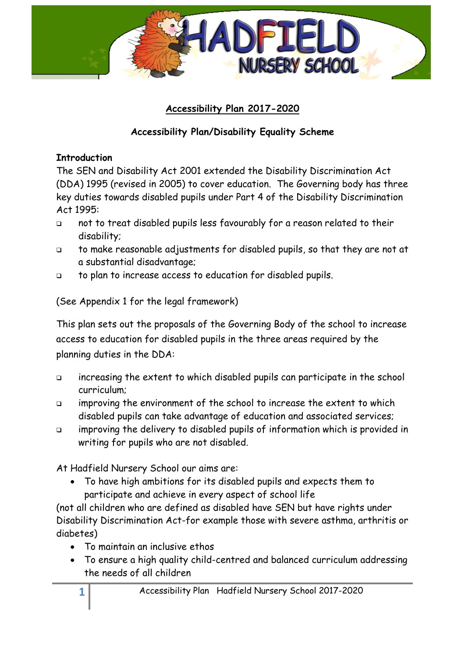

## **Accessibility Plan 2017-2020**

## **Accessibility Plan/Disability Equality Scheme**

### **Introduction**

The SEN and Disability Act 2001 extended the Disability Discrimination Act (DDA) 1995 (revised in 2005) to cover education. The Governing body has three key duties towards disabled pupils under Part 4 of the Disability Discrimination Act 1995:

- not to treat disabled pupils less favourably for a reason related to their disability;
- to make reasonable adjustments for disabled pupils, so that they are not at a substantial disadvantage;
- to plan to increase access to education for disabled pupils.

(See Appendix 1 for the legal framework)

This plan sets out the proposals of the Governing Body of the school to increase access to education for disabled pupils in the three areas required by the planning duties in the DDA:

- increasing the extent to which disabled pupils can participate in the school curriculum;
- $\Box$  improving the environment of the school to increase the extent to which disabled pupils can take advantage of education and associated services;
- improving the delivery to disabled pupils of information which is provided in writing for pupils who are not disabled.

At Hadfield Nursery School our aims are:

 To have high ambitions for its disabled pupils and expects them to participate and achieve in every aspect of school life

(not all children who are defined as disabled have SEN but have rights under Disability Discrimination Act-for example those with severe asthma, arthritis or diabetes)

- To maintain an inclusive ethos
- To ensure a high quality child-centred and balanced curriculum addressing the needs of all children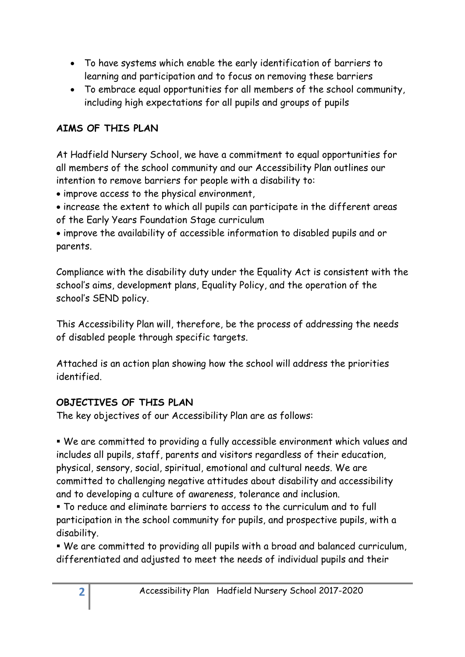- To have systems which enable the early identification of barriers to learning and participation and to focus on removing these barriers
- To embrace equal opportunities for all members of the school community, including high expectations for all pupils and groups of pupils

## **AIMS OF THIS PLAN**

At Hadfield Nursery School, we have a commitment to equal opportunities for all members of the school community and our Accessibility Plan outlines our intention to remove barriers for people with a disability to:

- improve access to the physical environment,
- increase the extent to which all pupils can participate in the different areas of the Early Years Foundation Stage curriculum

 improve the availability of accessible information to disabled pupils and or parents.

Compliance with the disability duty under the Equality Act is consistent with the school's aims, development plans, Equality Policy, and the operation of the school's SEND policy.

This Accessibility Plan will, therefore, be the process of addressing the needs of disabled people through specific targets.

Attached is an action plan showing how the school will address the priorities identified.

## **OBJECTIVES OF THIS PLAN**

The key objectives of our Accessibility Plan are as follows:

 We are committed to providing a fully accessible environment which values and includes all pupils, staff, parents and visitors regardless of their education, physical, sensory, social, spiritual, emotional and cultural needs. We are committed to challenging negative attitudes about disability and accessibility and to developing a culture of awareness, tolerance and inclusion.

 To reduce and eliminate barriers to access to the curriculum and to full participation in the school community for pupils, and prospective pupils, with a disability.

 We are committed to providing all pupils with a broad and balanced curriculum, differentiated and adjusted to meet the needs of individual pupils and their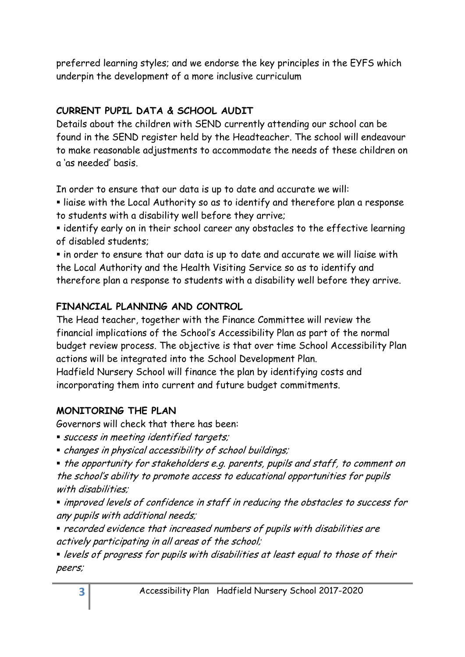preferred learning styles; and we endorse the key principles in the EYFS which underpin the development of a more inclusive curriculum

## **CURRENT PUPIL DATA & SCHOOL AUDIT**

Details about the children with SEND currently attending our school can be found in the SEND register held by the Headteacher. The school will endeavour to make reasonable adjustments to accommodate the needs of these children on a 'as needed' basis.

In order to ensure that our data is up to date and accurate we will:

 liaise with the Local Authority so as to identify and therefore plan a response to students with a disability well before they arrive;

 identify early on in their school career any obstacles to the effective learning of disabled students;

 in order to ensure that our data is up to date and accurate we will liaise with the Local Authority and the Health Visiting Service so as to identify and therefore plan a response to students with a disability well before they arrive.

## **FINANCIAL PLANNING AND CONTROL**

The Head teacher, together with the Finance Committee will review the financial implications of the School's Accessibility Plan as part of the normal budget review process. The objective is that over time School Accessibility Plan actions will be integrated into the School Development Plan.

Hadfield Nursery School will finance the plan by identifying costs and incorporating them into current and future budget commitments.

## **MONITORING THE PLAN**

Governors will check that there has been:

- **success in meeting identified targets;**
- changes in physical accessibility of school buildings;

• the opportunity for stakeholders e.g. parents, pupils and staff, to comment on the school's ability to promote access to educational opportunities for pupils with disabilities:

 improved levels of confidence in staff in reducing the obstacles to success for any pupils with additional needs;

 recorded evidence that increased numbers of pupils with disabilities are actively participating in all areas of the school;

**•** levels of progress for pupils with disabilities at least equal to those of their peers;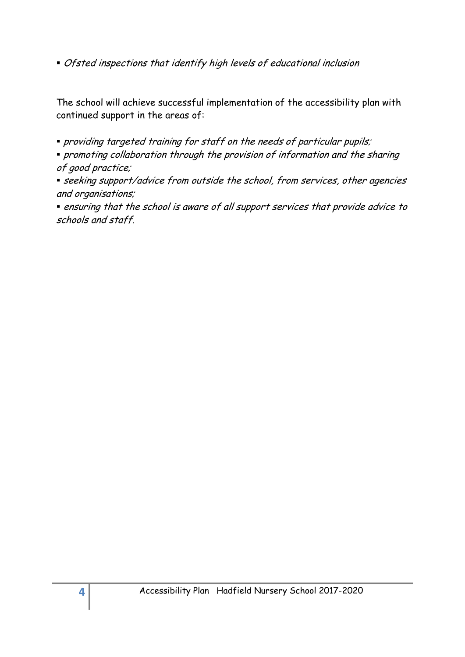Ofsted inspections that identify high levels of educational inclusion

The school will achieve successful implementation of the accessibility plan with continued support in the areas of:

- providing targeted training for staff on the needs of particular pupils;
- promoting collaboration through the provision of information and the sharing of good practice;
- seeking support/advice from outside the school, from services, other agencies and organisations;

 ensuring that the school is aware of all support services that provide advice to schools and staff.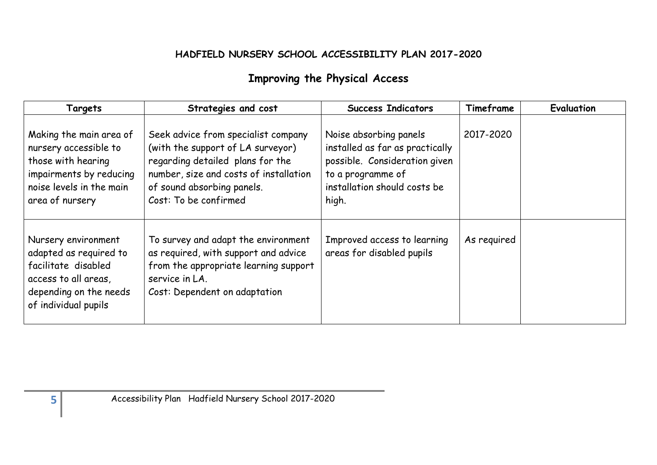### **HADFIELD NURSERY SCHOOL ACCESSIBILITY PLAN 2017-2020**

# **Improving the Physical Access**

| Targets                                                                                                                                          | Strategies and cost                                                                                                                                                                                           | <b>Success Indicators</b>                                                                                                                                | Timeframe   | Evaluation |
|--------------------------------------------------------------------------------------------------------------------------------------------------|---------------------------------------------------------------------------------------------------------------------------------------------------------------------------------------------------------------|----------------------------------------------------------------------------------------------------------------------------------------------------------|-------------|------------|
| Making the main area of<br>nursery accessible to<br>those with hearing<br>impairments by reducing<br>noise levels in the main<br>area of nursery | Seek advice from specialist company<br>(with the support of LA surveyor)<br>regarding detailed plans for the<br>number, size and costs of installation<br>of sound absorbing panels.<br>Cost: To be confirmed | Noise absorbing panels<br>installed as far as practically<br>possible. Consideration given<br>to a programme of<br>installation should costs be<br>high. | 2017-2020   |            |
| Nursery environment<br>adapted as required to<br>facilitate disabled<br>access to all areas,<br>depending on the needs<br>of individual pupils   | To survey and adapt the environment<br>as required, with support and advice<br>from the appropriate learning support<br>service in LA.<br>Cost: Dependent on adaptation                                       | Improved access to learning<br>areas for disabled pupils                                                                                                 | As required |            |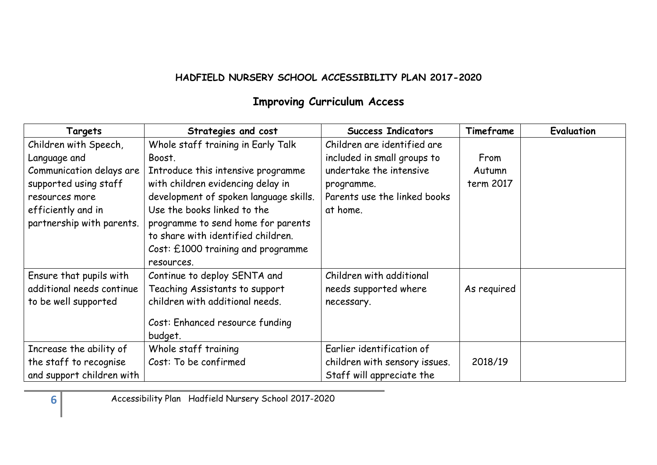### **HADFIELD NURSERY SCHOOL ACCESSIBILITY PLAN 2017-2020**

# **Improving Curriculum Access**

| Targets                   | Strategies and cost                    | <b>Success Indicators</b>     | Timeframe   | <b>Evaluation</b> |
|---------------------------|----------------------------------------|-------------------------------|-------------|-------------------|
| Children with Speech,     | Whole staff training in Early Talk     | Children are identified are   |             |                   |
| Language and              | Boost.                                 | included in small groups to   | From        |                   |
| Communication delays are  | Introduce this intensive programme     | undertake the intensive       | Autumn      |                   |
| supported using staff     | with children evidencing delay in      | programme.                    | term 2017   |                   |
| resources more            | development of spoken language skills. | Parents use the linked books  |             |                   |
| efficiently and in        | Use the books linked to the            | at home.                      |             |                   |
| partnership with parents. | programme to send home for parents     |                               |             |                   |
|                           | to share with identified children.     |                               |             |                   |
|                           | Cost: £1000 training and programme     |                               |             |                   |
|                           | resources.                             |                               |             |                   |
| Ensure that pupils with   | Continue to deploy SENTA and           | Children with additional      |             |                   |
| additional needs continue | Teaching Assistants to support         | needs supported where         | As required |                   |
| to be well supported      | children with additional needs.        | necessary.                    |             |                   |
|                           | Cost: Enhanced resource funding        |                               |             |                   |
|                           | budget.                                |                               |             |                   |
| Increase the ability of   | Whole staff training                   | Earlier identification of     |             |                   |
| the staff to recognise    | Cost: To be confirmed                  | children with sensory issues. | 2018/19     |                   |
| and support children with |                                        | Staff will appreciate the     |             |                   |

**6** Accessibility Plan Hadfield Nursery School 2017-2020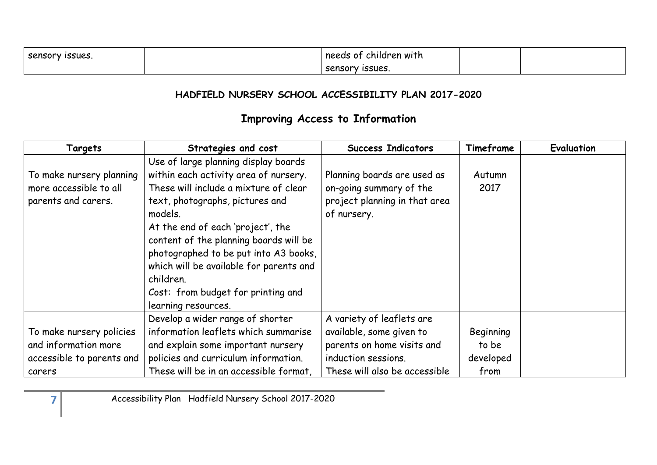| <b>ISSUES.</b><br><b>Sensory</b> | needs<br>children with<br>- - -<br>U |  |
|----------------------------------|--------------------------------------|--|
|                                  | <b>ISSUES</b><br>sensorv             |  |

### **HADFIELD NURSERY SCHOOL ACCESSIBILITY PLAN 2017-2020**

# **Improving Access to Information**

| Targets                                                                   | Strategies and cost                                                                                                                                                                                                                                                                                                                                                                                               | <b>Success Indicators</b>                                                                              | Timeframe      | <b>Evaluation</b> |
|---------------------------------------------------------------------------|-------------------------------------------------------------------------------------------------------------------------------------------------------------------------------------------------------------------------------------------------------------------------------------------------------------------------------------------------------------------------------------------------------------------|--------------------------------------------------------------------------------------------------------|----------------|-------------------|
| To make nursery planning<br>more accessible to all<br>parents and carers. | Use of large planning display boards<br>within each activity area of nursery.<br>These will include a mixture of clear<br>text, photographs, pictures and<br>models.<br>At the end of each 'project', the<br>content of the planning boards will be<br>photographed to be put into A3 books,<br>which will be available for parents and<br>children.<br>Cost: from budget for printing and<br>learning resources. | Planning boards are used as<br>on-going summary of the<br>project planning in that area<br>of nursery. | Autumn<br>2017 |                   |
| To make nursery policies                                                  | Develop a wider range of shorter<br>information leaflets which summarise                                                                                                                                                                                                                                                                                                                                          | A variety of leaflets are<br>available, some given to                                                  | Beginning      |                   |
| and information more                                                      | and explain some important nursery                                                                                                                                                                                                                                                                                                                                                                                | parents on home visits and                                                                             | to be          |                   |
| accessible to parents and                                                 | policies and curriculum information.                                                                                                                                                                                                                                                                                                                                                                              | induction sessions.                                                                                    | developed      |                   |
| carers                                                                    | These will be in an accessible format,                                                                                                                                                                                                                                                                                                                                                                            | These will also be accessible                                                                          | from           |                   |

**7** Accessibility Plan Hadfield Nursery School 2017-2020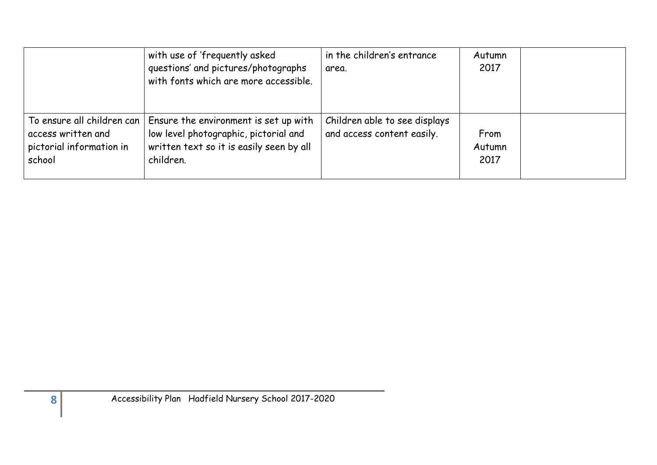|                                                                                        | with use of 'frequently asked<br>questions' and pictures/photographs<br>with fonts which are more accessible.                           | in the children's entrance<br>area.                         | Autumn<br>2017         |  |
|----------------------------------------------------------------------------------------|-----------------------------------------------------------------------------------------------------------------------------------------|-------------------------------------------------------------|------------------------|--|
| To ensure all children can<br>access written and<br>pictorial information in<br>school | Ensure the environment is set up with<br>low level photographic, pictorial and<br>written text so it is easily seen by all<br>children. | Children able to see displays<br>and access content easily. | From<br>Autumn<br>2017 |  |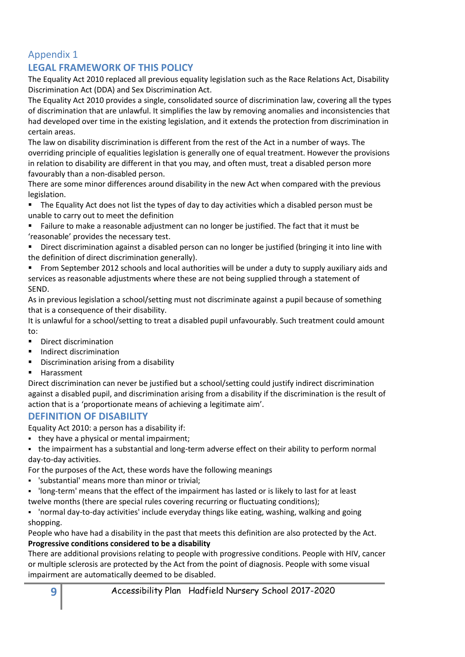## Appendix 1

#### **LEGAL FRAMEWORK OF THIS POLICY**

The Equality Act 2010 replaced all previous equality legislation such as the Race Relations Act, Disability Discrimination Act (DDA) and Sex Discrimination Act.

The Equality Act 2010 provides a single, consolidated source of discrimination law, covering all the types of discrimination that are unlawful. It simplifies the law by removing anomalies and inconsistencies that had developed over time in the existing legislation, and it extends the protection from discrimination in certain areas.

The law on disability discrimination is different from the rest of the Act in a number of ways. The overriding principle of equalities legislation is generally one of equal treatment. However the provisions in relation to disability are different in that you may, and often must, treat a disabled person more favourably than a non-disabled person.

There are some minor differences around disability in the new Act when compared with the previous legislation.

 The Equality Act does not list the types of day to day activities which a disabled person must be unable to carry out to meet the definition

 Failure to make a reasonable adjustment can no longer be justified. The fact that it must be 'reasonable' provides the necessary test.

 Direct discrimination against a disabled person can no longer be justified (bringing it into line with the definition of direct discrimination generally).

**From September 2012 schools and local authorities will be under a duty to supply auxiliary aids and** services as reasonable adjustments where these are not being supplied through a statement of SEND.

As in previous legislation a school/setting must not discriminate against a pupil because of something that is a consequence of their disability.

It is unlawful for a school/setting to treat a disabled pupil unfavourably. Such treatment could amount to:

- **Direct discrimination**
- Indirect discrimination
- Discrimination arising from a disability
- Harassment

Direct discrimination can never be justified but a school/setting could justify indirect discrimination against a disabled pupil, and discrimination arising from a disability if the discrimination is the result of action that is a 'proportionate means of achieving a legitimate aim'.

#### **DEFINITION OF DISABILITY**

Equality Act 2010: a person has a disability if:

• they have a physical or mental impairment;

 the impairment has a substantial and long-term adverse effect on their ability to perform normal day-to-day activities.

For the purposes of the Act, these words have the following meanings

- 'substantial' means more than minor or trivial;
- 'long-term' means that the effect of the impairment has lasted or is likely to last for at least twelve months (there are special rules covering recurring or fluctuating conditions);

 'normal day-to-day activities' include everyday things like eating, washing, walking and going shopping.

People who have had a disability in the past that meets this definition are also protected by the Act. **Progressive conditions considered to be a disability**

There are additional provisions relating to people with progressive conditions. People with HIV, cancer or multiple sclerosis are protected by the Act from the point of diagnosis. People with some visual impairment are automatically deemed to be disabled.